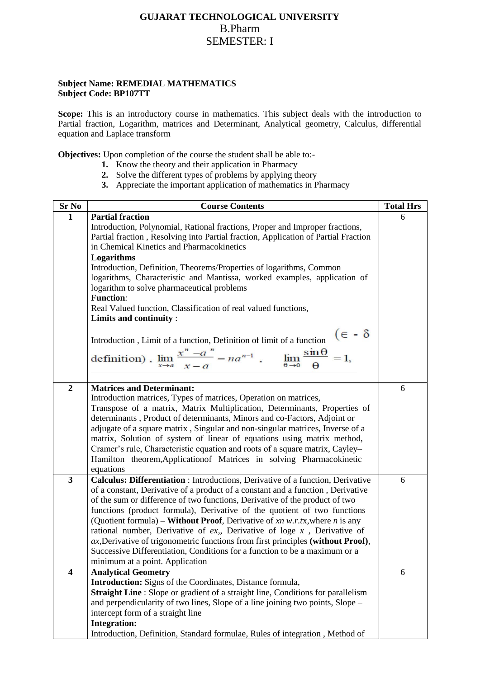## **GUJARAT TECHNOLOGICAL UNIVERSITY** B.Pharm SEMESTER: I

## **Subject Name: REMEDIAL MATHEMATICS Subject Code: BP107TT**

Scope: This is an introductory course in mathematics. This subject deals with the introduction to Partial fraction, Logarithm, matrices and Determinant, Analytical geometry, Calculus, differential equation and Laplace transform

**Objectives:** Upon completion of the course the student shall be able to:-

- **1.** Know the theory and their application in Pharmacy
- **2.** Solve the different types of problems by applying theory
- **3.** Appreciate the important application of mathematics in Pharmacy

| Sr No                   | <b>Course Contents</b>                                                                                                                                             | <b>Total Hrs</b> |
|-------------------------|--------------------------------------------------------------------------------------------------------------------------------------------------------------------|------------------|
| $\mathbf{1}$            | <b>Partial fraction</b>                                                                                                                                            | 6                |
|                         | Introduction, Polynomial, Rational fractions, Proper and Improper fractions,                                                                                       |                  |
|                         | Partial fraction, Resolving into Partial fraction, Application of Partial Fraction                                                                                 |                  |
|                         | in Chemical Kinetics and Pharmacokinetics                                                                                                                          |                  |
|                         | Logarithms                                                                                                                                                         |                  |
|                         | Introduction, Definition, Theorems/Properties of logarithms, Common                                                                                                |                  |
|                         | logarithms, Characteristic and Mantissa, worked examples, application of                                                                                           |                  |
|                         | logarithm to solve pharmaceutical problems                                                                                                                         |                  |
|                         | <b>Function:</b>                                                                                                                                                   |                  |
|                         | Real Valued function, Classification of real valued functions,                                                                                                     |                  |
|                         | Limits and continuity:                                                                                                                                             |                  |
|                         | $(\epsilon - \delta$                                                                                                                                               |                  |
|                         | Introduction, Limit of a function, Definition of limit of a function                                                                                               |                  |
|                         | definition), $\lim_{x \to a} \frac{x^n - a^n}{x - a} = na^{n-1}$ , $\lim_{\theta \to 0} \frac{\sin \theta}{\theta} = 1$ ,                                          |                  |
|                         |                                                                                                                                                                    |                  |
|                         |                                                                                                                                                                    |                  |
| $\overline{2}$          | <b>Matrices and Determinant:</b>                                                                                                                                   | 6                |
|                         | Introduction matrices, Types of matrices, Operation on matrices,                                                                                                   |                  |
|                         | Transpose of a matrix, Matrix Multiplication, Determinants, Properties of                                                                                          |                  |
|                         | determinants, Product of determinants, Minors and co-Factors, Adjoint or                                                                                           |                  |
|                         | adjugate of a square matrix, Singular and non-singular matrices, Inverse of a                                                                                      |                  |
|                         | matrix, Solution of system of linear of equations using matrix method,                                                                                             |                  |
|                         | Cramer's rule, Characteristic equation and roots of a square matrix, Cayley-                                                                                       |                  |
|                         | Hamilton theorem, Applicationof Matrices in solving Pharmacokinetic                                                                                                |                  |
| $\overline{\mathbf{3}}$ | equations                                                                                                                                                          | 6                |
|                         | Calculus: Differentiation : Introductions, Derivative of a function, Derivative<br>of a constant, Derivative of a product of a constant and a function, Derivative |                  |
|                         | of the sum or difference of two functions, Derivative of the product of two                                                                                        |                  |
|                         | functions (product formula), Derivative of the quotient of two functions                                                                                           |                  |
|                         | (Quotient formula) – <b>Without Proof</b> , Derivative of xn w.r.tx, where n is any                                                                                |                  |
|                         | rational number, Derivative of $ex$ , Derivative of loge $x$ , Derivative of                                                                                       |                  |
|                         | $ax$ , Derivative of trigonometric functions from first principles (without Proof),                                                                                |                  |
|                         | Successive Differentiation, Conditions for a function to be a maximum or a                                                                                         |                  |
|                         | minimum at a point. Application                                                                                                                                    |                  |
| $\overline{\mathbf{4}}$ | <b>Analytical Geometry</b>                                                                                                                                         | 6                |
|                         | <b>Introduction:</b> Signs of the Coordinates, Distance formula,                                                                                                   |                  |
|                         | Straight Line : Slope or gradient of a straight line, Conditions for parallelism                                                                                   |                  |
|                         | and perpendicularity of two lines, Slope of a line joining two points, Slope –                                                                                     |                  |
|                         | intercept form of a straight line                                                                                                                                  |                  |
|                         | <b>Integration:</b>                                                                                                                                                |                  |
|                         | Introduction, Definition, Standard formulae, Rules of integration, Method of                                                                                       |                  |